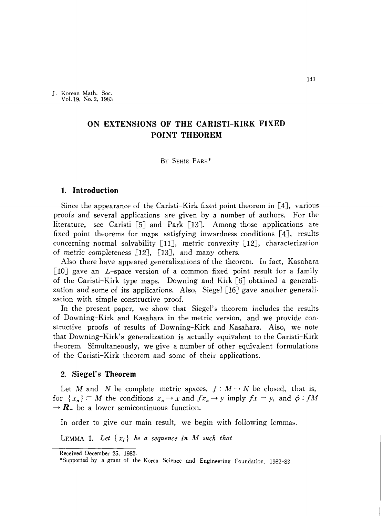J. Korean Math. Soc. Vo1.19. No. 2. 1983

# **ON EXTENSIONS OF THE CARISTI-KIRK FIXED POINT THEOREM**

#### By SEHIE PARK\*

#### **1. Introduction**

Since the appearance of the Caristi-Kirk fixed point theorem in [4J, various proofs and several applications are given by a number of authors. For the literature, see Caristi [5] and Park [13]. Among those applications are fixed point theorems for maps satisfying inwardness conditions  $[4]$ , results concerning normal solvability  $[11]$ , metric convexity  $[12]$ , characterization of metric completeness  $[12]$ ,  $[13]$ , and many others.

Also there have appeared generalizations of the theorem. In fact, Kasahara  $\lceil 10 \rceil$  gave an *L*-space version of a common fixed point result for a family of the Caristi-Kirk type maps. Downing and Kirk [6J obtained a generali. zation and some of its applications. Also, Siegel  $[16]$  gave another generalization with simple constructive proof.

In the present paper, we show that Siegel's theorem includes the results of Downing-Kirk and Kasahara in the metric version, and we provide con· structive proofs of results of Downing-Kirk and Kasahara. Also, we note that Downing-Kirk's generalization is actually equivalent to the Caristi-Kirk theorem. Simultaneously, we give a number of other equivalent formulations of the Caristi-Kirk theorem and some of their applications.

## **2. Siegel's Theorem**

Let *M* and *N* be complete metric spaces,  $f: M \to N$  be closed, that is, for  $\{x_n\} \subset M$  the conditions  $x_n \to x$  and  $fx_n \to y$  imply  $fx = y$ , and  $\phi : fM$  $\rightarrow R_{+}$  be a lower semicontinuous function.

In order to give our main result, we begin with following lemmas.

LEMMA 1. Let  $\{x_i\}$  be a sequence in M such that

Received December 25. 1982.

<sup>\*</sup>Supported by a grant of the Korea Science and Engineering Foundation. 1982-83.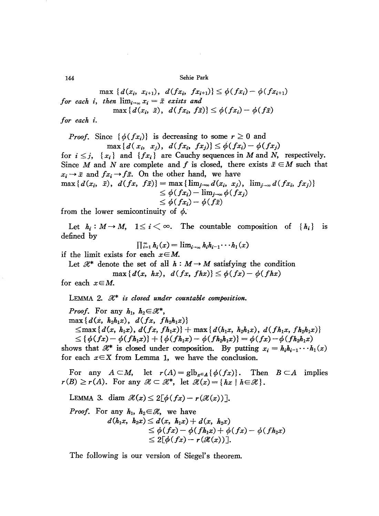$\max \{d(x_i, x_{i+1}), d(fx_i, fx_{i+1})\} \leq \phi(fx_i) - \phi(fx_{i+1})$ for each i, then  $\lim_{i\to\infty} x_i = \bar{x}$  exists and  $\max\{d(x_i, \bar{x}), d(fx_i, f\bar{x})\} \leq \phi(fx_i) - \phi(f\bar{x})$ 

for each *i*.

*Proof.* Since  $\{\phi(fx_i)\}\$ is decreasing to some  $r \geq 0$  and  $\max\{d(x_i, x_i), d(fx_i, fx_i)\}\leq \phi(fx_i)-\phi(fx_i)$ 

for  $i \leq j$ ,  $\{x_i\}$  and  $\{fx_i\}$  are Cauchy sequences in M and N, respectively. Since M and N are complete and f is closed, there exists  $\bar{x} \in M$  such that  $x_i \rightarrow \bar{x}$  and  $fx_i \rightarrow f\bar{x}$ . On the other hand, we have  $\max\{d(x_i, \bar{x}), d(fx, f\bar{x})\} = \max\{\lim_{j\to\infty}d(x_i, x_j), \lim_{j\to\infty}d(fx_i, f_{x_j})\}$  $\leq \phi(fx_i) - \lim_{i \to \infty} \phi(fx_i)$ 

 $\leq \phi(fx_i) - \phi(f\bar{x})$ 

from the lower semicontinuity of  $\phi$ .

Let  $h_i: M \to M$ ,  $1 \leq i \leq \infty$ . The countable composition of  $\{h_i\}$  is defined by

$$
\prod_{i=1}^{\infty} h_i(x) = \lim_{i \to \infty} h_i h_{i-1} \cdots h_1(x)
$$

if the limit exists for each  $x \in M$ .

Let  $\mathcal{X}^*$  denote the set of all  $h : M \to M$  satisfying the condition  $\max\{d(x, hx), d(fx, fhx)\}\leq \phi(fx)-\phi(fhx)$ 

for each  $x \in M$ .

LEMMA 2.  $\mathcal{H}^*$  is closed under countable composition.

*Proof.* For any  $h_1$ ,  $h_2 \in \mathbb{R}^*$ ,  $\max\{d(x, h_2h_1x), d(fx, fh_2h_1x)\}\$  $\leq$ max $\{d(x, h_1x), d(fx, fh_1x)\}$  + max $\{d(h_1x, h_2h_1x), d(fh_1x, fh_2h_1x)\}$  $\leq \{\phi(fx)-\phi(fh_1x)\}+\{\phi(fh_1x)-\phi(fh_2h_1x)\}=\phi(fx)-\phi(fh_2h_1x)$ shows that  $\mathcal{K}^*$  is closed under composition. By putting  $x_i = h_i h_{i-1} \cdots h_1(x)$ for each  $x \in X$  from Lemma 1, we have the conclusion.

For any  $A \subset M$ , let  $r(A) = \text{glb}_{x \in A} \{ \phi(fx) \}.$  Then  $B \subset A$  implies  $r(B) \ge r(A)$ . For any  $\mathcal{X} \subset \mathcal{X}^*$ , let  $\mathcal{X}(x) = \{ hx \mid h \in \mathcal{X} \}.$ 

LEMMA 3. diam  $\mathcal{H}(x) \leq 2\lceil \phi(fx) - r(\mathcal{H}(x)) \rceil$ ,

*Proof.* For any  $h_1$ ,  $h_2 \in \mathcal{H}$ , we have

$$
d(h_1x, h_2x) \leq d(x, h_1x) + d(x, h_2x)
$$
  
\n
$$
\leq \phi(fx) - \phi(fh_1x) + \phi(fx) - \phi(fh_2x)
$$
  
\n
$$
\leq 2[\phi(fx) - r(\mathcal{X}(x))].
$$

The following is our version of Siegel's theorem.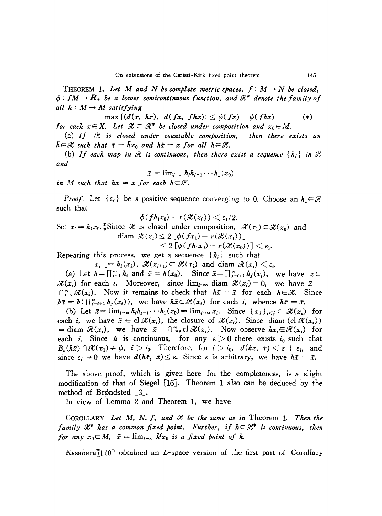THEOREM 1. Let M and N be complete metric spaces,  $f: M \rightarrow N$  be closed,  $\phi$ :  $f \mathcal{M} \rightarrow \mathbf{R}_{+}$  be a lower semicontinuous function, and  $\mathcal{H}^{*}$  denote the family of *all*  $h: M \rightarrow M$  *satisfying* 

 $\max\{(d(x, hx), d(fx, fhx)) \leq \phi(fx) - \phi(fhx)$  (\*) *for* each  $x \in X$ . Let  $\mathcal{H} \subset \mathcal{H}^*$  be closed under composition and  $x_0 \in M$ .

(a) *If !le is closed under countable composition, then there exists an*  $\bar{h} \in \mathcal{H}$  such that  $\bar{x} = \bar{h}x_0$  and  $h\bar{x} = \bar{x}$  for all  $h \in \mathcal{H}$ .

(b) If each map in  $\mathcal{H}$  is continuous, then there exist a sequence  $\{h_i\}$  in  $\mathcal{H}$ *and*

$$
\bar{x}=\lim_{i\to\infty}h_ih_{i-1}\cdots h_1(x_0)
$$

*in M such that*  $h\bar{x} = \bar{x}$  *for each*  $h \in \mathcal{H}$ .

*Proof.* Let  $\{\varepsilon_i\}$  be a positive sequence converging to 0. Choose an  $h_1 \in \mathcal{H}$ such that

$$
\phi(fh_1x_0)-r(\mathcal{H}(x_0))<\varepsilon_1/2.
$$

Set  $x_1 = h_1x_0$ . Since *H* is closed under composition,  $\mathcal{H}(x_1) \subset \mathcal{H}(x_0)$  and  $\begin{aligned} \text{diam}\,\,\mathscr{X}(x_{\text{\tiny{I}}})\!\leq\!2\left[\phi(fx_{\text{\tiny{I}}})-r(\mathscr{X}(x_{\text{\tiny{I}}}))\right]\ &\leq 2\left[\phi(fh_{\text{\tiny{I}}}x_0)-r(\mathscr{X}(x_0))\right]\!<\!\epsilon_{\text{\tiny{I}}}. \end{aligned}$ 

$$
\leq Z\left[\varphi\left(f_{n_1}x_0\right)-r\left(\mathcal{H}\left(x_0\right)\right)\right]\leq \varepsilon_1.
$$

Repeating this process, we get a sequence  $\{h_i\}$  such that

 $x_{i+1} = h_i(x_i)$ ,  $\mathcal{H}(x_{i+1}) \subset \mathcal{H}(x_i)$  and diam  $\mathcal{H}(x_i) \leq \varepsilon_i$ .

(a) Let  $\bar{h} = \prod_{i=1}^{\infty} h_i$  and  $\bar{x} = \bar{h}(x_0)$ . Since  $\bar{x} = \prod_{j=i+1}^{\infty} h_j(x_i)$ , we have  $\bar{x} \in$  $\mathcal{H}(x_i)$  for each *i*. Moreover, since  $\lim_{i \to \infty}$  diam  $\mathcal{H}(x_i) = 0$ , we have  $\bar{x} =$  $\bigcap_{i=0}^{\infty} \mathcal{H}(x_i)$ . Now it remains to check that  $h\bar{x} = \bar{x}$  for each  $h \in \mathcal{H}$ . Since  $h\bar{x} = h(\prod_{i=i+1}^{\infty} h_i(x_i)),$  we have  $h\bar{x} \in \mathcal{X}(x_i)$  for each *i*, whence  $h\bar{x} = \bar{x}.$ 

(b) Let  $\bar{x} = \lim_{i \to \infty} h_i h_{i-1} \cdots h_1(x_0) = \lim_{i \to \infty} x_i$ . Since  $\{x_i\}_{i \leq i} \subset \mathcal{H}(x_i)$  for each *i*, we have  $\bar{x} \in \mathrm{cl} \mathcal{H}(x_i)$ , the closure of  $\mathcal{H}(x_i)$ . Since diam (cl  $\mathcal{H}(x_i)$ ) = diam  $\mathcal{X}(x_i)$ , we have  $\bar{x} = \bigcap_{i=0}^{\infty} cl \mathcal{X}(x_i)$ . Now observe  $hx_i \in \mathcal{X}(x_i)$  for each *i*. Since *h* is continuous, for any  $\varepsilon > 0$  there exists  $i_0$  such that  $B_{\varepsilon}(h\bar{x}) \cap \mathcal{H}(x_1) \neq \phi, \quad i > i_0.$  Therefore, for  $i > i_0, d(h\bar{x}, \bar{x}) \leq \varepsilon + \varepsilon_i$ , and since  $\varepsilon_i \to 0$  we have  $d(h\bar{x}, \bar{x}) \leq \varepsilon$ . Since  $\varepsilon$  is arbitrary, we have  $h\bar{x} = \bar{x}$ . since  $\varepsilon_i \to 0$  we have  $d(h\bar{x}, \bar{x}) \leq \varepsilon$ . Since  $\varepsilon$  is arbitrary, we have  $h\bar{x} = \bar{x}$ .

The above proof, which is given here for the completeness, is a slight modification of that of Siegel [16J. Theorem 1 also can be deduced by the method of Br $\phi$ ndsted [3].

In view of Lemma 2 and Theorem 1, we have

COROLLARY. Let M, N, f, and *R* be the same as in Theorem 1. Then the *family*  $\mathcal{H}^*$  *has a common fixed point. Further, if*  $h \in \mathcal{H}^*$  *is continuous, then for any*  $x_0 \in M$ ,  $\bar{x} = \lim_{i \to \infty} h^i x_0$  *is a fixed point of h.* 

Kasahara][IOJ obtained an *L-space* version of the first part of Corollary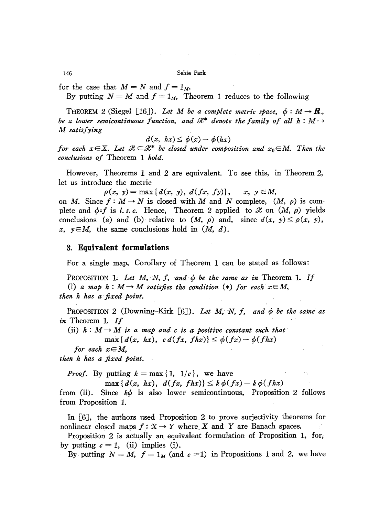$\sim$   $\sim$ 

for the case that  $M = N$  and  $f = 1_M$ .

By putting  $N = M$  and  $f = 1_M$ , Theorem 1 reduces to the following

THEOREM 2 (Siegel [16]). Let M be a complete metric space,  $\phi : M \to \mathbb{R}_+$ *be* a lower semicontinuous function, and  $\mathcal{H}^*$  denote the family of all  $h: M \rightarrow$ *M satisfying*

$$
d(x, hx) \leq \phi(x) - \phi(hx)
$$

*for* each  $x \in X$ . Let  $\mathcal{H} \subset \mathcal{H}^*$  be closed under composition and  $x_0 \in M$ . Then the *conclusions of* Theorem 1 *hold.*

However, Theorems 1 and 2 are equivalent. To see this, in Theorem 2, let us introduce the metric

 $p(x, y) = \max\{d(x, y), d(fx, fy)\}, \quad x, y \in M,$ 

on *M*. Since  $f: M \to N$  is closed with M and N complete,  $(M, \rho)$  is complete and  $\phi \circ f$  is *l.s.c.* Hence, Theorem 2 applied to  $\mathcal{H}$  on  $(M, \rho)$  yields conclusions (a) and (b) relative to  $(M, \rho)$  and, since  $d(x, y) \leq \rho(x, y)$ ,  $x, y \in M$ , the same conclusions hold in  $(M, d)$ .

## 3. **Equivalent formulations**

For a single map, Corollary of Theorem 1 can he stated as follows:

PROPOSITION 1. Let  $M$ ,  $N$ ,  $f$ , and  $\phi$  be the same as in Theorem 1. If (i) *a* map  $h : M \rightarrow M$  satisfies the condition (\*) for each  $x \in M$ , *then h has a'fixed point.*

PROPOSITION 2 (Downing-Kirk  $[6]$ ). Let M, N, f, and  $\phi$  be the same as *in* Theorem 1. *If*

(ii)  $h: M \rightarrow M$  *is a map and c is a positive constant such that*  $\max\{d(x, hx), c\,d(fx, fhx)\}\leq \phi(fx)-\phi(fhx)$ 

*for* each  $x \in M$ ,

*then h has a fixed point.*

*Proof.* By putting  $k = \max\{1, 1/c\}$ , we have

 $\max\{d(x, hx), d(fx, fhx)\}\leq k\phi(fx)-k\phi(fhx)$ 

from (ii). Since  $k\phi$  is also lower semicontinuous, Proposition 2 follows from Proposition 1.

In [6J, the authors used Proposition 2 to prove surjectivity theorems for nonlinear closed maps  $f: X \to Y$  where X and Y are Banach spaces.  $\mathcal{A}_{\mathcal{A}}$ 

Proposition 2 is actually an equivalent formulation of Proposition 1, for, by putting  $c = 1$ , (ii) implies (i).

By putting  $N = M$ ,  $f = 1_M$  (and  $c = 1$ ) in Propositions 1 and 2, we have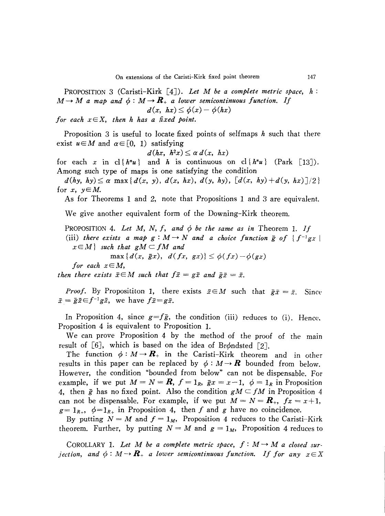PROPOSITION 3 (Caristi-Kirk [4J). *Let M be a complete metric space, h:*  $M \rightarrow M$  a map and  $\phi : M \rightarrow \mathbb{R}_+$  a lower semicontinuous function. If  $d(x, hx) \leq \phi(x) - \phi(hx)$ 

*for* each  $x \in X$ , then *h has a fixed point.* 

Proposition 3 is useful to locate fixed points of selfmaps *h* such that there exist  $u \in M$  and  $\alpha \in [0, 1)$  satisfying

$$
d(hx, h^2x) \leq \alpha \, d(x, hx)
$$

for each *x* in  $cl{h<sup>n</sup>u}$  and *h* is continuous on  $cl{h<sup>n</sup>u}$  (Park [13]). Among such type of maps is one satisfying the condition

 $d(hy, hy) \leq \alpha \max\{d(x, y), d(x, hx), d(y, hy), [d(x, hy) + d(y, hx)]/2\}$ for  $x, y \in M$ .

As for Theorems 1 and 2, note that Propositions 1 and 3 are equivalent.

We give another equivalent form of the Downing-Kirk theorem.

PROPOSITION 4. Let  $M$ ,  $N$ ,  $f$ , and  $\phi$  be the same as in Theorem 1. If (iii) *there exists* a map  $g : M \to N$  and a *choice* function  $\bar{g}$  of  $\{f^{-1}gx \mid$  $x \in M$ } *such that*  $gM \subset fM$  *and* 

 $\max\{d(x, \bar{g}x), d(fx, \bar{g}x)\}\leq \phi(fx)-\phi(gx)$ 

*for each xEM,*

*then there exists*  $\bar{x} \in M$  *such that*  $f\bar{x} = g\bar{x}$  *and*  $\bar{g}\bar{x} = \bar{x}$ .

*Proof.* By Proposititon 1, there exists  $\bar{x} \in M$  such that  $\bar{g}\bar{x} = \bar{x}$ . Since  $\bar{x} = \bar{g}\bar{x} \in f^{-1}g\bar{x}$ , we have  $f\bar{x} = g\bar{x}$ .

In Proposition 4, since  $g=f\bar{g}$ , the condition (iii) reduces to (i). Hence, Proposition 4 is equivalent to Proposition 1.

We can prove Proposition 4 by the method of the proof of the main result of  $[6]$ , which is based on the idea of Br $\phi$ ndsted  $[2]$ .

The function  $\phi: M \to \mathbb{R}_+$  in the Caristi-Kirk theorem and in other results in this paper can be replaced by  $\phi: M \rightarrow \mathbb{R}$  bounded from below. However, the condition "bounded from below" can not be dispensable. For example, if we put  $M = N = \mathbf{R}$ ,  $f = 1_R$ ,  $\bar{g}x = x-1$ ,  $\phi = 1_R$  in Proposition 4, then  $\bar{g}$  has no fixed point. Also the condition  $gM \subset fM$  in Proposition 4 can not be dispensable. For example, if we put  $M = N = \mathbf{R}_+$ ,  $fx = x+1$ ,  $g=1_{R_+}, \phi=1_{R_+}$  in Proposition 4, then f and g have no coincidence.

By putting  $N = M$  and  $f = 1_M$ , Proposition 4 reduces to the Caristi-Kirk theorem. Further, by putting  $N = M$  and  $g = 1_M$ , Proposition 4 reduces to

COROLLARY 1. Let M be a complete metric space,  $f: M \rightarrow M$  a closed sur*jection,* and  $\phi: M \to \mathbb{R}_+$  a lower semicontinuous function. If for any  $x \in X$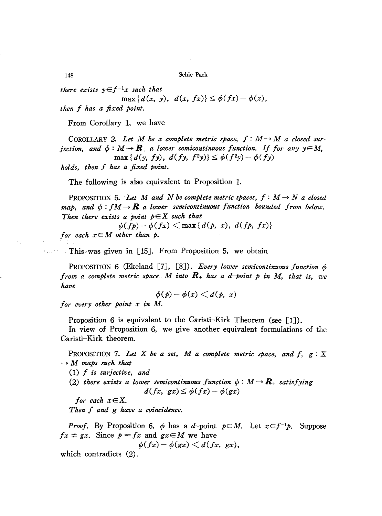*there exists*  $y \in f^{-1}x$  *such that* 

 $max{d(x, y), d(x, fx)} \leq \phi(fx) - \phi(x),$ 

*then f has a fixed point.*

From Corollary 1, we have

COROLLARY 2. Let M be a complete metric space,  $f: M \rightarrow M$  a closed sur*jection,* and  $\phi : M \to \mathbb{R}_+$  a lower semicontinuous function. If for any  $y \in M$ ,  $\max\{d(y, fy), d(fy, f^2y)\}\leq \phi(f^2y)-\phi(fy)$ 

*holds, then f has a fixed point.*

The following is also equivalent to Proposition 1.

PROPOSITION 5. Let M and N be complete metric spaces,  $f : M \rightarrow N$  a closed *map, and*  $\phi : fM \to \mathbb{R}$  *a lower semicontinuous function bounded from below. Then there exists a point*  $p \in X$  *such that* 

 $\phi(fp) - \phi(fx) \leq \max\{d(p, x), d(fp, fx)\}\$ 

*for* each  $x \in M$  *other than*  $p$ .

, This was given in [15]. From Proposition 5, we obtain

PROPOSITION 6 (Ekeland [7J, [8J). *Every lower semicontinuous function 9 from a complete metric space M into R+ has ad-point p in M, that is, we have*

$$
\phi(p)-\phi(x)
$$

*for every other point x in* M.

Proposition 6 is equivalent to the Caristi–Kirk Theorem (see  $\lceil 1 \rceil$ ).

In view of Proposition 6, we give another equivalent formulations of the Caristi-Kirk theorem.

PROPOSITION 7. *Let* X *be a set,* M *a complete metric space, and f, g:* X  $\rightarrow$  M *maps such that* 

*(1) f is surjective, and*

(2) there exists a lower semicontinuous function  $\phi : M \to \mathbb{R}_+$  satisfying  $d(fx, gx) \leq \phi(fx) - \phi(gx)$ 

*for* each  $x \in X$ . *Then f and g have a coincidence.*

*Proof.* By Proposition 6,  $\phi$  has a d-point  $\rho \in M$ . Let  $x \in f^{-1}p$ . Suppose  $fx \neq gx$ . Since  $p = fx$  and  $gx \in M$  we have

 $\phi(fx) - \phi(gx) \leq d(fx, gx),$ 

which contradicts (2).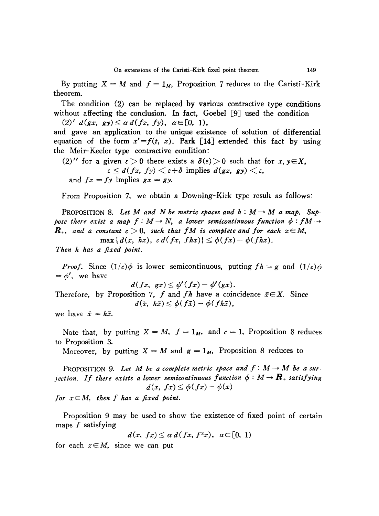By putting  $X = M$  and  $f = 1_M$ , Proposition 7 reduces to the Caristi-Kirk theorem.

The condition (2) can be replaced by various contractive type conditions without affecting the conclusion. In fact, Goebel [9] used the condition

 $(2)'$   $d(gx, gy) \leq \alpha d(fx, fy), \alpha \in [0, 1),$ 

and gave an application to the unique existence of solution of differential equation of the form  $x' = f(t, x)$ . Park [14] extended this fact by using the Meir-Keeler type contractive condition:

(2)'' for a given 
$$
\varepsilon > 0
$$
 there exists a  $\delta(\varepsilon) > 0$  such that for  $x, y \in X$ ,  $\varepsilon \leq d(fx, fy) < \varepsilon + \delta$  implies  $d(gx, gy) < \varepsilon$ , and  $fx = fy$  implies  $gx = gy$ .

From Proposition 7, we obtain a Downing-Kirk type result as follows:

PROPOSITION 8. Let M and N be metric spaces and  $h : M \rightarrow M$  a map. Sup*pose there exist a map*  $f: M \rightarrow N$ , *a lower semicontinuous function*  $\phi: fM \rightarrow$  $R_+$ , and a constant  $c > 0$ , such that  $fM$  is complete and for each  $x \in M$ ,

$$
\max\{d(x, hx), c\,d(fx, fhx)\}\leq \phi(fx)-\phi(fhx).
$$

*Then h has a fixed point.*

*Proof.* Since  $(1/c)$  is lower semicontinuous, putting  $fh = g$  and  $(1/c)$  $=\phi'$ , we have

$$
d(fx, gx) \leq \phi'(fx) - \phi'(gx).
$$

Therefore, by Proposition 7, *f* and *fh* have a coincidence  $\tilde{x} \in X$ . Since  $d(\bar{x}, h\bar{x}) \leq \phi(f\bar{x}) - \phi(f\bar{h}\bar{x}),$ 

we have  $\bar{x} = h\bar{x}$ .

Note that, by putting  $X = M$ ,  $f = 1_M$ , and  $c = 1$ , Proposition 8 reduces to Proposition 3.

Moreover, by putting  $X = M$  and  $g = 1_M$ , Proposition 8 reduces to

PROPOSITION 9. Let M be a complete metric space and  $f : M \rightarrow M$  be a sur*jection.* If there exists a lower semicontinuous function  $\phi : M \rightarrow \mathbf{R}_{+}$  satisfying  $d(x, fx) \leq \phi(fx) - \phi(x)$ 

*for*  $x \in M$ , then *f* has a fixed point.

Proposition 9 may be used to show the existence of fixed point of certain maps  $f$  satisfying

 $d(x, fx) \leq \alpha d(fx, f^2x), \ \alpha \in [0, 1)$ 

for each  $x \in M$ , since we can put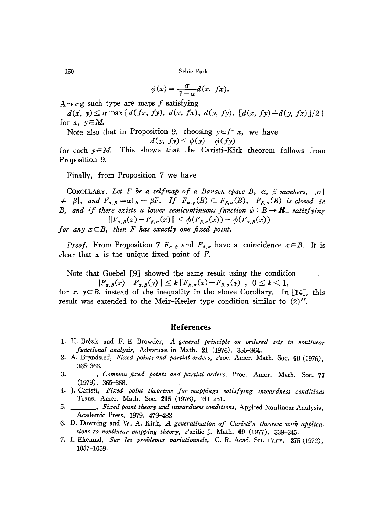$$
\phi(x) = \frac{\alpha}{1-\alpha}d(x, \; fx).
$$

Among such type are maps  $f$  satisfying

 $d(x, y) \le \alpha \max\{d(fx, fy), d(x, fx), d(y, fy), [d(x, fy)+d(y, fx)]/2\}$ for x,  $y \in M$ .

Note also that in Proposition 9, choosing  $y \in f^{-1}x$ , we have

$$
d(y, fy) \leq \phi(y) - \phi(fy)
$$

for each  $y \in M$ . This shows that the Caristi-Kirk theorem follows from Proposition 9.

Finally, from Proposition 7 we have

COROLLARY. Let F be a selfmap of a Banach space B,  $\alpha$ ,  $\beta$  numbers,  $|\alpha|$  $\neq |\beta|$ , and  $F_{\alpha,\beta} = \alpha 1_B + \beta F$ . If  $F_{\alpha,\beta}(B) \subset F_{\beta,\alpha}(B)$ ,  $F_{\beta,\alpha}(B)$  is closed in B, and if there exists a lower semicontinuous function  $\phi : B \to \mathbb{R}_+$  satisfying  $||F_{\alpha,\beta}(x)-F_{\beta,\alpha}(x)|| \leq \phi(F_{\beta,\alpha}(x)) - \phi(F_{\alpha,\beta}(x))$ for any  $x \in B$ , then F has exactly one fixed point.

*Proof.* From Proposition 7  $F_{\alpha,\beta}$  and  $F_{\beta,\alpha}$  have a coincidence  $x \in B$ . It is clear that  $x$  is the unique fixed point of  $F$ .

Note that Goebel [9] showed the same result using the condition

 $||F_{\alpha,\beta}(x)-F_{\alpha,\beta}(y)|| \leq k ||F_{\beta,\alpha}(x)-F_{\beta,\alpha}(y)||, \ \ 0 \leq k < 1,$ 

for x,  $y \in B$ , instead of the inequality in the above Corollary. In [14], this result was extended to the Meir-Keeler type condition similar to (2)''.

# References

- 1. H. Brézis and F. E. Browder, A general principle on ordered sets in nonlinear functional analysis, Advances in Math. 21 (1976), 355-364.
- 2. A. Brøndsted, Fixed points and partial orders, Proc. Amer. Math. Soc. 60 (1976), 365-366.
- 3. \_\_\_\_\_, Common fixed points and partial orders, Proc. Amer. Math. Soc. 77  $(1979), 365 - 368.$
- 4. J. Caristi, Fixed point theorems for mappings satisfying inwardness conditions Trans. Amer. Math. Soc. 215 (1976), 241-251.
- Fixed point theory and inwardness conditions, Applied Nonlinear Analysis,  $5.$ Academic Press, 1979, 479-483.
- 6. D. Downing and W. A. Kirk, A generalization of Caristi's theorem with applications to nonlinear mapping theory, Pacific J. Math. 69 (1977), 339-345.
- 7. I. Ekeland, Sur les problemes variationnels, C. R. Acad. Sci. Paris, 275 (1972), 1057-1059.

150